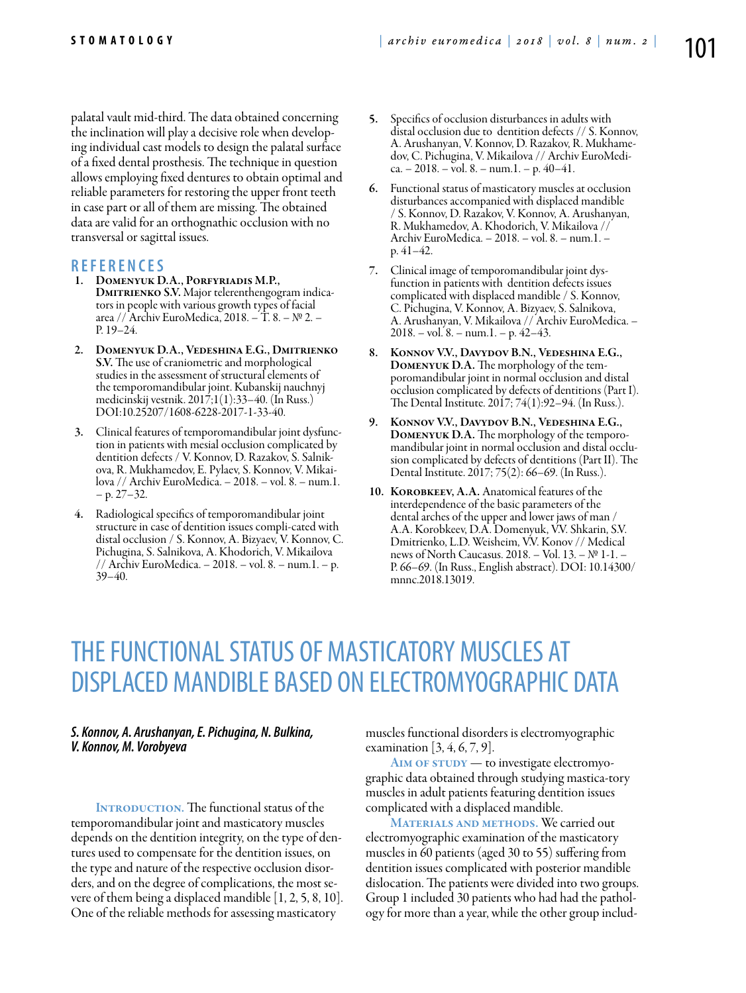palatal vault mid-third. The data obtained concerning the inclination will play a decisive role when developing individual cast models to design the palatal surface of a fixed dental prosthesis. The technique in question allows employing fixed dentures to obtain optimal and reliable parameters for restoring the upper front teeth in case part or all of them are missing. The obtained data are valid for an orthognathic occlusion with no transversal or sagittal issues.

## **R efe r e n ce s**

- 1. Domenyuk D.A., Porfyriadis M.P., DMITRIENKO S.V. Major telerenthengogram indicators in people with various growth types of facial area // Archiv EuroMedica, 2018. – Т. 8. – № 2. – Р. 19–24.
- 2. Domenyuk D.A., Vedeshina E.G., Dmitrienko S.V. The use of craniometric and morphological studies in the assessment of structural elements of the temporomandibular joint. Kubanskij nauchnyj medicinskij vestnik. 2017;1(1):33–40. (In Russ.) DOI:10.25207/1608-6228-2017-1-33-40.
- 3. Clinical features of temporomandibular joint dysfunction in patients with mesial occlusion complicated by dentition defects / V. Konnov, D. Razakov, S. Salnikova, R. Mukhamedov, E. Pylaev, S. Konnov, V. Mikailova // Archiv EuroMedica. – 2018. – vol. 8. – num.1.  $- p. 27 - 32.$
- 4. Radiological specifics of temporomandibular joint structure in case of dentition issues compli-cated with distal occlusion / S. Konnov, A. Bizyaev, V. Konnov, C. Pichugina, S. Salnikova, A. Khodorich, V. Mikailova // Archiv EuroMedica. – 2018. – vol. 8. – num.1. – p. 39–40.
- 5. Specifics of occlusion disturbances in adults with distal occlusion due to dentition defects // S. Konnov, A. Arushanyan, V. Konnov, D. Razakov, R. Mukhamedov, C. Pichugina, V. Mikailova // Archiv EuroMedi $ca. -2018. -vol. 8. - num. 1. - p. 40-41.$
- 6. Functional status of masticatory muscles at occlusion disturbances accompanied with displaced mandible / S. Konnov, D. Razakov, V. Konnov, A. Arushanyan, R. Mukhamedov, A. Khodorich, V. Mikailova // Archiv EuroMedica. – 2018. – vol. 8. – num.1. – p. 41–42.
- 7. Clinical image of temporomandibular joint dysfunction in patients with dentition defects issues complicated with displaced mandible / S. Konnov, C. Pichugina, V. Konnov, A. Bizyaev, S. Salnikova, A. Arushanyan, V. Mikailova // Archiv EuroMedica. – 2018. – vol. 8. – num.1. – p. 42–43.
- 8. Konnov V.V., Davydov B.N., Vedeshina E.G., Domenyuk D.A. The morphology of the temporomandibular joint in normal occlusion and distal occlusion complicated by defects of dentitions (Part I). The Dental Institute. 2017; 74(1):92–94. (In Russ.).
- 9. Konnov V.V., Davydov B.N., Vedeshina E.G., Domenyuk D.A. The morphology of the temporomandibular joint in normal occlusion and distal occlusion complicated by defects of dentitions (Part II). The Dental Institute. 2017; 75(2): 66–69. (In Russ.).
- 10. Korobkeev, А.A. Anatomical features of the interdependence of the basic parameters of the dental arches of the upper and lower jaws of man / A.A. Korobkeev, D.A. Domenyuk, V.V. Shkarin, S.V. Dmitrienko, L.D. Weisheim, V.V. Konov // Medical news of North Caucasus. 2018. – Vol. 13. – № 1-1. – P. 66–69. (In Russ., English abstract). DOI: 10.14300/ mnnc.2018.13019.

## THE FUNCTIONAL STATUS OF MASTICATORY MUSCLES AT DISPLACED MANDIBLE BASED ON ELECTROMYOGRAPHIC DATA

## *S. Konnov, A. Arushanyan, E. Pichugina, N. Bulkina, V. Konnov, M. Vorobyeva*

**INTRODUCTION.** The functional status of the temporomandibular joint and masticatory muscles depends on the dentition integrity, on the type of dentures used to compensate for the dentition issues, on the type and nature of the respective occlusion disorders, and on the degree of complications, the most severe of them being a displaced mandible [1, 2, 5, 8, 10]. One of the reliable methods for assessing masticatory

muscles functional disorders is electromyographic examination  $[3, 4, 6, 7, 9]$ .

AIM OF STUDY — to investigate electromyographic data obtained through studying mastica-tory muscles in adult patients featuring dentition issues complicated with a displaced mandible.

MATERIALS AND METHODS. We carried out electromyographic examination of the masticatory muscles in 60 patients (aged 30 to 55) suffering from dentition issues complicated with posterior mandible dislocation. The patients were divided into two groups. Group 1 included 30 patients who had had the pathology for more than a year, while the other group includ